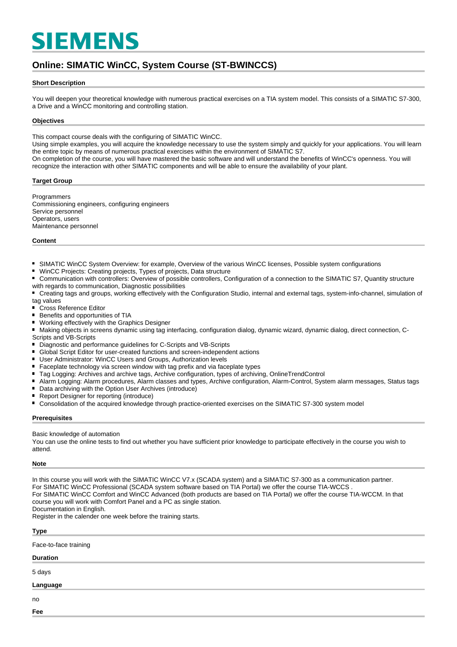# **SIEMENS**

# **Online: SIMATIC WinCC, System Course (ST-BWINCCS)**

### **Short Description**

You will deepen your theoretical knowledge with numerous practical exercises on a TIA system model. This consists of a SIMATIC S7-300, a Drive and a WinCC monitoring and controlling station.

#### **Objectives**

This compact course deals with the configuring of SIMATIC WinCC.

Using simple examples, you will acquire the knowledge necessary to use the system simply and quickly for your applications. You will learn the entire topic by means of numerous practical exercises within the environment of SIMATIC S7.

On completion of the course, you will have mastered the basic software and will understand the benefits of WinCC's openness. You will recognize the interaction with other SIMATIC components and will be able to ensure the availability of your plant.

#### **Target Group**

**Programmers** Commissioning engineers, configuring engineers Service personnel Operators, users Maintenance personnel

#### **Content**

- $\blacksquare$ SIMATIC WinCC System Overview: for example, Overview of the various WinCC licenses, Possible system configurations
- $\blacksquare$ WinCC Projects: Creating projects, Types of projects, Data structure
- $\blacksquare$ Communication with controllers: Overview of possible controllers, Configuration of a connection to the SIMATIC S7, Quantity structure with regards to communication, Diagnostic possibilities
- Creating tags and groups, working effectively with the Configuration Studio, internal and external tags, system-info-channel, simulation of tag values
- Cross Reference Editor
- $\blacksquare$ Benefits and opportunities of TIA
- Working effectively with the Graphics Designer
- Making objects in screens dynamic using tag interfacing, configuration dialog, dynamic wizard, dynamic dialog, direct connection, C-Scripts and VB-Scripts
- Diagnostic and performance guidelines for C-Scripts and VB-Scripts
- Global Script Editor for user-created functions and screen-independent actions
- $\blacksquare$ User Administrator: WinCC Users and Groups, Authorization levels
- $\blacksquare$ Faceplate technology via screen window with tag prefix and via faceplate types
- Tag Logging: Archives and archive tags, Archive configuration, types of archiving, OnlineTrendControl
- $\blacksquare$ Alarm Logging: Alarm procedures, Alarm classes and types, Archive configuration, Alarm-Control, System alarm messages, Status tags
- Data archiving with the Option User Archives (introduce)
- Report Designer for reporting (introduce)
- $\blacksquare$ Consolidation of the acquired knowledge through practice-oriented exercises on the SIMATIC S7-300 system model

#### **Prerequisites**

Basic knowledge of automation

You can use the online tests to find out whether you have sufficient prior knowledge to participate effectively in the course you wish to attend.

#### **Note**

In this course you will work with the SIMATIC WinCC V7.x (SCADA system) and a SIMATIC S7-300 as a communication partner. For SIMATIC WinCC Professional (SCADA system software based on TIA Portal) we offer the course TIA-WCCS . For SIMATIC WinCC Comfort and WinCC Advanced (both products are based on TIA Portal) we offer the course TIA-WCCM. In that course you will work with Comfort Panel and a PC as single station. Documentation in English.

Register in the calender one week before the training starts.

# **Type**

Face-to-face training

# **Duration**

5 days

# **Language**

no